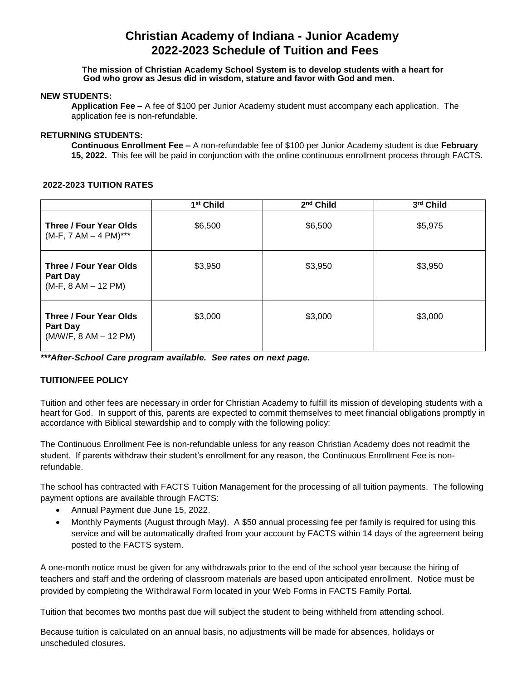# **Christian Academy of Indiana - Junior Academy 2022-2023 Schedule of Tuition and Fees**

#### **The mission of Christian Academy School System is to develop students with a heart for God who grow as Jesus did in wisdom, stature and favor with God and men.**

#### **NEW STUDENTS:**

**Application Fee –** A fee of \$100 per Junior Academy student must accompany each application. The application fee is non-refundable.

## **RETURNING STUDENTS:**

**Continuous Enrollment Fee –** A non-refundable fee of \$100 per Junior Academy student is due **February 15, 2022.** This fee will be paid in conjunction with the online continuous enrollment process through FACTS.

## **2022-2023 TUITION RATES**

|                                                                    | 1 <sup>st</sup> Child | 2 <sup>nd</sup> Child | 3rd Child |
|--------------------------------------------------------------------|-----------------------|-----------------------|-----------|
| Three / Four Year Olds<br>$(M-F, 7 AM - 4 PM)***$                  | \$6,500               | \$6,500               | \$5,975   |
| Three / Four Year Olds<br><b>Part Day</b><br>$(M-F, 8 AM - 12 PM)$ | \$3,950               | \$3,950               | \$3,950   |
| Three / Four Year Olds<br>Part Day<br>$(M/W/F, 8 AM - 12 PM)$      | \$3,000               | \$3,000               | \$3,000   |

*\*\*\*After-School Care program available. See rates on next page.*

## **TUITION/FEE POLICY**

Tuition and other fees are necessary in order for Christian Academy to fulfill its mission of developing students with a heart for God. In support of this, parents are expected to commit themselves to meet financial obligations promptly in accordance with Biblical stewardship and to comply with the following policy:

The Continuous Enrollment Fee is non-refundable unless for any reason Christian Academy does not readmit the student. If parents withdraw their student's enrollment for any reason, the Continuous Enrollment Fee is nonrefundable.

The school has contracted with FACTS Tuition Management for the processing of all tuition payments. The following payment options are available through FACTS:

- Annual Payment due June 15, 2022.
- Monthly Payments (August through May). A \$50 annual processing fee per family is required for using this service and will be automatically drafted from your account by FACTS within 14 days of the agreement being posted to the FACTS system.

A one-month notice must be given for any withdrawals prior to the end of the school year because the hiring of teachers and staff and the ordering of classroom materials are based upon anticipated enrollment. Notice must be provided by completing the Withdrawal Form located in your Web Forms in FACTS Family Portal.

Tuition that becomes two months past due will subject the student to being withheld from attending school.

Because tuition is calculated on an annual basis, no adjustments will be made for absences, holidays or unscheduled closures.